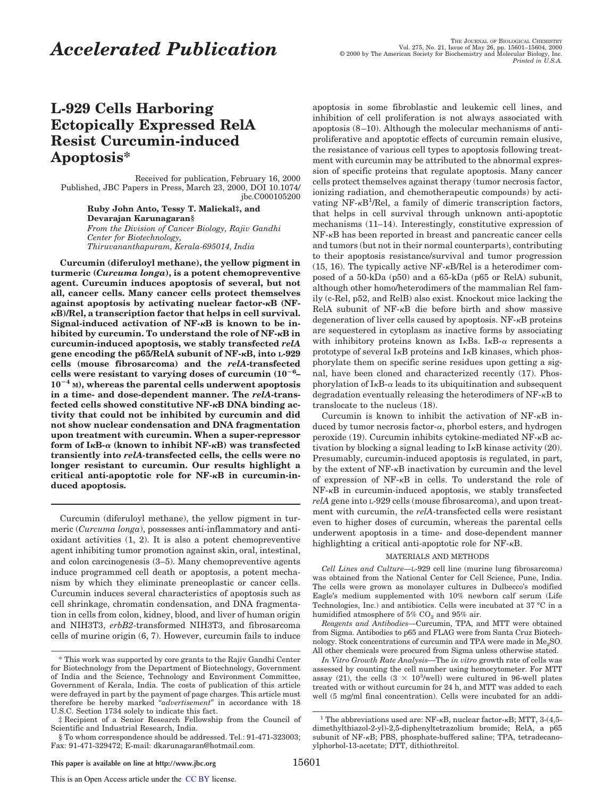# **L-929 Cells Harboring Ectopically Expressed RelA Resist Curcumin-induced Apoptosis\***

Received for publication, February 16, 2000 Published, JBC Papers in Press, March 23, 2000, DOI 10.1074/ jbc.C000105200

> **Ruby John Anto, Tessy T. Maliekal‡, and Devarajan Karunagaran§** *From the Division of Cancer Biology, Rajiv Gandhi Center for Biotechnology, Thiruvananthapuram, Kerala-695014, India*

**Curcumin (diferuloyl methane), the yellow pigment in turmeric (***Curcuma longa***), is a potent chemopreventive agent. Curcumin induces apoptosis of several, but not all, cancer cells. Many cancer cells protect themselves against apoptosis by activating nuclear factor-**k**B (NF**<sup>k</sup>**B)/Rel, a transcription factor that helps in cell survival. Signal-induced activation of NF-**k**B is known to be inhibited by curcumin. To understand the role of NF-**k**B in curcumin-induced apoptosis, we stably transfected** *relA* **gene encoding the p65/RelA subunit of NF-**k**B, into L-929 cells (mouse fibrosarcoma) and the** *relA***-transfected cells were resistant to varying doses of curcumin**  $(10^{-6} 10^{-4}$  M), whereas the parental cells underwent apoptosis **in a time- and dose-dependent manner. The** *relA***-transfected cells showed constitutive NF-**k**B DNA binding activity that could not be inhibited by curcumin and did not show nuclear condensation and DNA fragmentation upon treatment with curcumin. When a super-repressor form of I**k**B-**<sup>a</sup> **(known to inhibit NF-**k**B) was transfected transiently into** *relA-***transfected cells, the cells were no longer resistant to curcumin. Our results highlight a critical anti-apoptotic role for NF-**k**B in curcumin-induced apoptosis.**

Curcumin (diferuloyl methane), the yellow pigment in turmeric (*Curcuma longa*), possesses anti-inflammatory and antioxidant activities (1, 2). It is also a potent chemopreventive agent inhibiting tumor promotion against skin, oral, intestinal, and colon carcinogenesis (3–5). Many chemopreventive agents induce programmed cell death or apoptosis, a potent mechanism by which they eliminate preneoplastic or cancer cells. Curcumin induces several characteristics of apoptosis such as cell shrinkage, chromatin condensation, and DNA fragmentation in cells from colon, kidney, blood, and liver of human origin and NIH3T3, *erbB2*-transformed NIH3T3, and fibrosarcoma cells of murine origin (6, 7). However, curcumin fails to induce apoptosis in some fibroblastic and leukemic cell lines, and inhibition of cell proliferation is not always associated with apoptosis (8–10). Although the molecular mechanisms of antiproliferative and apoptotic effects of curcumin remain elusive, the resistance of various cell types to apoptosis following treatment with curcumin may be attributed to the abnormal expression of specific proteins that regulate apoptosis. Many cancer cells protect themselves against therapy (tumor necrosis factor, ionizing radiation, and chemotherapeutic compounds) by activating NF-<sub>K</sub>B<sup>1</sup>/Rel, a family of dimeric transcription factors, that helps in cell survival through unknown anti-apoptotic mechanisms (11–14). Interestingly, constitutive expression of NF-kB has been reported in breast and pancreatic cancer cells and tumors (but not in their normal counterparts), contributing to their apoptosis resistance/survival and tumor progression  $(15, 16)$ . The typically active NF- $\kappa$ B/Rel is a heterodimer composed of a 50-kDa (p50) and a 65-kDa (p65 or RelA) subunit, although other homo/heterodimers of the mammalian Rel family (c-Rel, p52, and RelB) also exist. Knockout mice lacking the RelA subunit of NF-kB die before birth and show massive degeneration of liver cells caused by apoptosis. NF-kB proteins are sequestered in cytoplasm as inactive forms by associating with inhibitory proteins known as  $I \kappa B$ s.  $I \kappa B$ - $\alpha$  represents a prototype of several IkB proteins and IkB kinases, which phosphorylate them on specific serine residues upon getting a signal, have been cloned and characterized recently (17). Phosphorylation of  $I \kappa B$ - $\alpha$  leads to its ubiquitination and subsequent degradation eventually releasing the heterodimers of NF-kB to translocate to the nucleus (18).

Curcumin is known to inhibit the activation of  $NF-\kappa B$  induced by tumor necrosis factor- $\alpha$ , phorbol esters, and hydrogen peroxide (19). Curcumin inhibits cytokine-mediated NF-kB activation by blocking a signal leading to  $I \kappa B$  kinase activity (20). Presumably, curcumin-induced apoptosis is regulated, in part, by the extent of NF-kB inactivation by curcumin and the level of expression of NF-kB in cells. To understand the role of NF-kB in curcumin-induced apoptosis, we stably transfected *relA* gene into L-929 cells (mouse fibrosarcoma), and upon treatment with curcumin, the *relA*-transfected cells were resistant even to higher doses of curcumin, whereas the parental cells underwent apoptosis in a time- and dose-dependent manner highlighting a critical anti-apoptotic role for NF- $\kappa$ B.

## MATERIALS AND METHODS

*Cell Lines and Culture—*L-929 cell line (murine lung fibrosarcoma) was obtained from the National Center for Cell Science, Pune, India. The cells were grown as monolayer cultures in Dulbecco's modified Eagle's medium supplemented with 10% newborn calf serum (Life Technologies, Inc.) and antibiotics. Cells were incubated at 37 °C in a humidified atmosphere of  $5\%$  CO<sub>2</sub> and  $95\%$  air.

*Reagents and Antibodies—*Curcumin, TPA, and MTT were obtained from Sigma. Antibodies to p65 and FLAG were from Santa Cruz Biotechnology. Stock concentrations of curcumin and TPA were made in Me<sub>2</sub>SO. All other chemicals were procured from Sigma unless otherwise stated.

*In Vitro Growth Rate Analysis—*The *in vitro* growth rate of cells was assessed by counting the cell number using hemocytometer. For MTT assay (21), the cells  $(3 \times 10^3/\text{well})$  were cultured in 96-well plates treated with or without curcumin for 24 h, and MTT was added to each well (5 mg/ml final concentration). Cells were incubated for an addi-

<sup>\*</sup> This work was supported by core grants to the Rajiv Gandhi Center for Biotechnology from the Department of Biotechnology, Government of India and the Science, Technology and Environment Committee, Government of Kerala, India. The costs of publication of this article were defrayed in part by the payment of page charges. This article must therefore be hereby marked "*advertisement*" in accordance with 18 U.S.C. Section 1734 solely to indicate this fact.

<sup>‡</sup> Recipient of a Senior Research Fellowship from the Council of Scientific and Industrial Research, India.

<sup>§</sup> To whom correspondence should be addressed. Tel.: 91-471-323003; Fax: 91-471-329472; E-mail: dkarunagaran@hotmail.com.

<sup>&</sup>lt;sup>1</sup> The abbreviations used are: NF- $\kappa$ B, nuclear factor- $\kappa$ B; MTT, 3-(4,5dimethylthiazol-2-yl)-2,5-diphenyltetrazolium bromide; RelA, a p65 subunit of NF-kB; PBS, phosphate-buffered saline; TPA, tetradecanoylphorbol-13-acetate; DTT, dithiothreitol.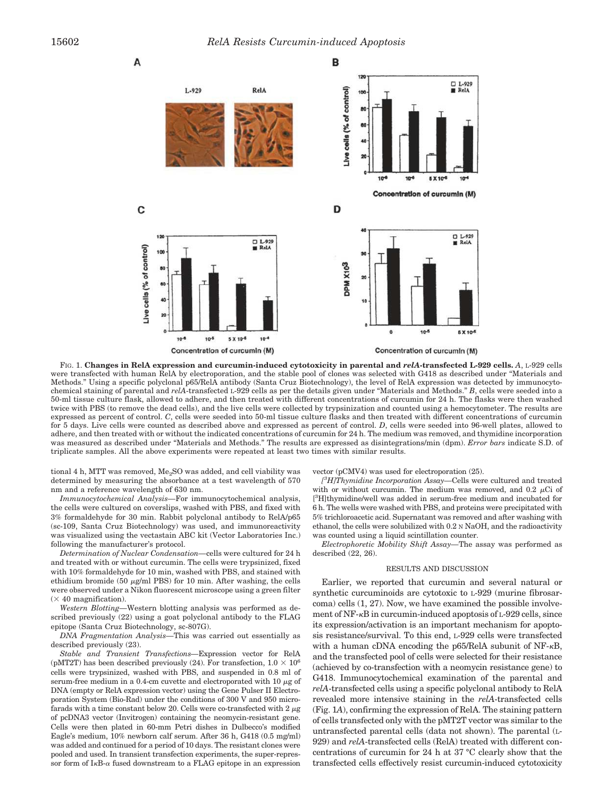

FIG. 1. **Changes in RelA expression and curcumin-induced cytotoxicity in parental and** *relA***-transfected L-929 cells.** *A*, L-929 cells were transfected with human RelA by electroporation, and the stable pool of clones was selected with G418 as described under "Materials and Methods." Using a specific polyclonal p65/RelA antibody (Santa Cruz Biotechnology), the level of RelA expression was detected by immunocytochemical staining of parental and *relA*-transfected L-929 cells as per the details given under "Materials and Methods." *B*, cells were seeded into a 50-ml tissue culture flask, allowed to adhere, and then treated with different concentrations of curcumin for 24 h. The flasks were then washed twice with PBS (to remove the dead cells), and the live cells were collected by trypsinization and counted using a hemocytometer. The results are expressed as percent of control. *C*, cells were seeded into 50-ml tissue culture flasks and then treated with different concentrations of curcumin for 5 days. Live cells were counted as described above and expressed as percent of control. *D*, cells were seeded into 96-well plates, allowed to adhere, and then treated with or without the indicated concentrations of curcumin for 24 h. The medium was removed, and thymidine incorporation was measured as described under "Materials and Methods." The results are expressed as disintegrations/min (dpm). *Error bars* indicate S.D. of triplicate samples. All the above experiments were repeated at least two times with similar results.

tional 4 h, MTT was removed,  $Me<sub>2</sub>SO$  was added, and cell viability was determined by measuring the absorbance at a test wavelength of 570 nm and a reference wavelength of 630 nm.

*Immunocytochemical Analysis—*For immunocytochemical analysis, the cells were cultured on coverslips, washed with PBS, and fixed with 3% formaldehyde for 30 min. Rabbit polyclonal antibody to RelA/p65 (sc-109, Santa Cruz Biotechnology) was used, and immunoreactivity was visualized using the vectastain ABC kit (Vector Laboratories Inc.) following the manufacturer's protocol.

*Determination of Nuclear Condensation—*cells were cultured for 24 h and treated with or without curcumin. The cells were trypsinized, fixed with 10% formaldehyde for 10 min, washed with PBS, and stained with ethidium bromide (50  $\mu$ g/ml PBS) for 10 min. After washing, the cells were observed under a Nikon fluorescent microscope using a green filter  $(\times 40$  magnification).

*Western Blotting—*Western blotting analysis was performed as described previously (22) using a goat polyclonal antibody to the FLAG epitope (Santa Cruz Biotechnology, sc-807G).

*DNA Fragmentation Analysis—*This was carried out essentially as described previously (23).

*Stable and Transient Transfections—*Expression vector for RelA (pMT2T) has been described previously (24). For transfection,  $1.0 \times 10^6$ cells were trypsinized, washed with PBS, and suspended in 0.8 ml of serum-free medium in a 0.4-cm cuvette and electroporated with  $10 \mu$ g of DNA (empty or RelA expression vector) using the Gene Pulser II Electroporation System (Bio-Rad) under the conditions of 300 V and 950 microfarads with a time constant below 20. Cells were co-transfected with  $2 \mu$ g of pcDNA3 vector (Invitrogen) containing the neomycin-resistant gene. Cells were then plated in 60-mm Petri dishes in Dulbecco's modified Eagle's medium, 10% newborn calf serum. After 36 h, G418 (0.5 mg/ml) was added and continued for a period of 10 days. The resistant clones were pooled and used. In transient transfection experiments, the super-repressor form of  $I_{\kappa}B_{-\alpha}$  fused downstream to a FLAG epitope in an expression

### vector (pCMV4) was used for electroporation (25).

*[ <sup>3</sup>H]Thymidine Incorporation Assay—*Cells were cultured and treated with or without curcumin. The medium was removed, and  $0.2 \mu$ Ci of [<sup>3</sup>H]thymidine/well was added in serum-free medium and incubated for 6 h. The wells were washed with PBS, and proteins were precipitated with 5% trichloroacetic acid. Supernatant was removed and after washing with ethanol, the cells were solubilized with 0.2 N NaOH, and the radioactivity was counted using a liquid scintillation counter.

*Electrophoretic Mobility Shift Assay—*The assay was performed as described (22, 26).

#### RESULTS AND DISCUSSION

Earlier, we reported that curcumin and several natural or synthetic curcuminoids are cytotoxic to L-929 (murine fibrosarcoma) cells (1, 27). Now, we have examined the possible involvement of NF-kB in curcumin-induced apoptosis of L-929 cells, since its expression/activation is an important mechanism for apoptosis resistance/survival. To this end, L-929 cells were transfected with a human cDNA encoding the p65/RelA subunit of NF- $\kappa$ B, and the transfected pool of cells were selected for their resistance (achieved by co-transfection with a neomycin resistance gene) to G418. Immunocytochemical examination of the parental and *relA*-transfected cells using a specific polyclonal antibody to RelA revealed more intensive staining in the *relA*-transfected cells (Fig. 1*A*), confirming the expression of RelA. The staining pattern of cells transfected only with the pMT2T vector was similar to the untransfected parental cells (data not shown). The parental (L-929) and *relA*-transfected cells (RelA) treated with different concentrations of curcumin for 24 h at 37 °C clearly show that the transfected cells effectively resist curcumin-induced cytotoxicity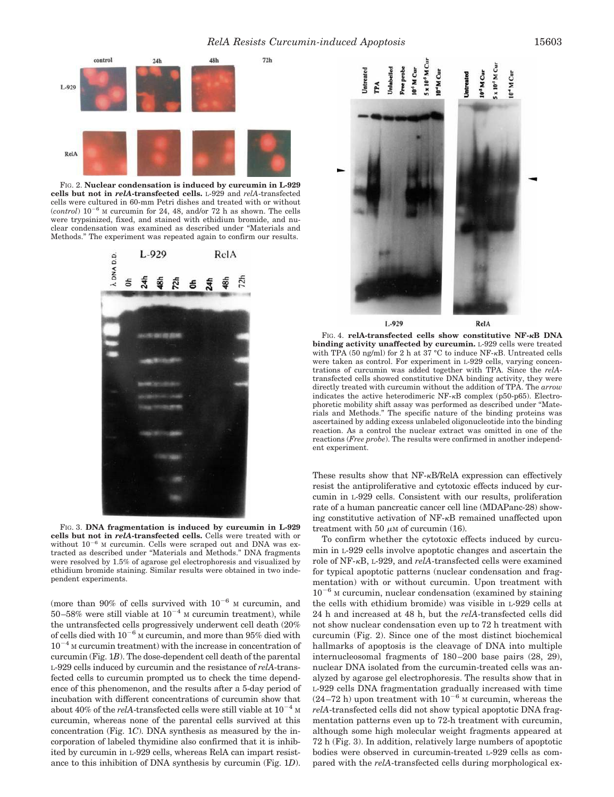

FIG. 2. **Nuclear condensation is induced by curcumin in L-929 cells but not in** *relA***-transfected cells.** L-929 and *relA*-transfected cells were cultured in 60-mm Petri dishes and treated with or without  $(control)$   $10^{-6}$  M curcumin for 24, 48, and/or 72 h as shown. The cells were trypsinized, fixed, and stained with ethidium bromide, and nuclear condensation was examined as described under "Materials and Methods." The experiment was repeated again to confirm our results.



FIG. 3. **DNA fragmentation is induced by curcumin in L-929 cells but not in** *relA***-transfected cells.** Cells were treated with or without  $10^{-6}$  M curcumin. Cells were scraped out and DNA was extracted as described under "Materials and Methods." DNA fragments were resolved by 1.5% of agarose gel electrophoresis and visualized by ethidium bromide staining. Similar results were obtained in two independent experiments.

(more than 90% of cells survived with  $10^{-6}$  M curcumin, and 50–58% were still viable at  $10^{-4}$  M curcumin treatment), while the untransfected cells progressively underwent cell death (20% of cells died with  $10^{-6}$  M curcumin, and more than 95% died with  $10^{-4}$  M curcumin treatment) with the increase in concentration of curcumin (Fig. 1*B*). The dose-dependent cell death of the parental L-929 cells induced by curcumin and the resistance of *relA*-transfected cells to curcumin prompted us to check the time dependence of this phenomenon, and the results after a 5-day period of incubation with different concentrations of curcumin show that about 40% of the *relA*-transfected cells were still viable at  $10^{-4}$  M curcumin, whereas none of the parental cells survived at this concentration (Fig. 1*C*). DNA synthesis as measured by the incorporation of labeled thymidine also confirmed that it is inhibited by curcumin in L-929 cells, whereas RelA can impart resistance to this inhibition of DNA synthesis by curcumin (Fig. 1*D*).



FIG. 4. **relA-transfected cells show constitutive NF-**k**B DNA binding activity unaffected by curcumin.** L-929 cells were treated with TPA (50 ng/ml) for 2 h at 37 °C to induce NF- $\kappa$ B. Untreated cells were taken as control. For experiment in L-929 cells, varying concentrations of curcumin was added together with TPA. Since the *relA*transfected cells showed constitutive DNA binding activity, they were directly treated with curcumin without the addition of TPA. The *arrow* indicates the active heterodimeric NF-kB complex (p50-p65). Electrophoretic mobility shift assay was performed as described under "Materials and Methods." The specific nature of the binding proteins was ascertained by adding excess unlabeled oligonucleotide into the binding reaction. As a control the nuclear extract was omitted in one of the reactions (*Free probe*). The results were confirmed in another independent experiment.

These results show that NF- $\kappa$ B/RelA expression can effectively resist the antiproliferative and cytotoxic effects induced by curcumin in L-929 cells. Consistent with our results, proliferation rate of a human pancreatic cancer cell line (MDAPanc-28) showing constitutive activation of NF-kB remained unaffected upon treatment with 50  $\mu$ M of curcumin (16).

To confirm whether the cytotoxic effects induced by curcumin in L-929 cells involve apoptotic changes and ascertain the role of NF-kB, L-929, and *relA*-transfected cells were examined for typical apoptotic patterns (nuclear condensation and fragmentation) with or without curcumin. Upon treatment with  $10^{-6}$  M curcumin, nuclear condensation (examined by staining the cells with ethidium bromide) was visible in L-929 cells at 24 h and increased at 48 h, but the *relA*-transfected cells did not show nuclear condensation even up to 72 h treatment with curcumin (Fig. 2). Since one of the most distinct biochemical hallmarks of apoptosis is the cleavage of DNA into multiple internucleosomal fragments of 180–200 base pairs (28, 29), nuclear DNA isolated from the curcumin-treated cells was analyzed by agarose gel electrophoresis. The results show that in L-929 cells DNA fragmentation gradually increased with time  $(24-72 h)$  upon treatment with  $10^{-6}$  M curcumin, whereas the *relA*-transfected cells did not show typical apoptotic DNA fragmentation patterns even up to 72-h treatment with curcumin, although some high molecular weight fragments appeared at 72 h (Fig. 3). In addition, relatively large numbers of apoptotic bodies were observed in curcumin-treated L-929 cells as compared with the *relA*-transfected cells during morphological ex-